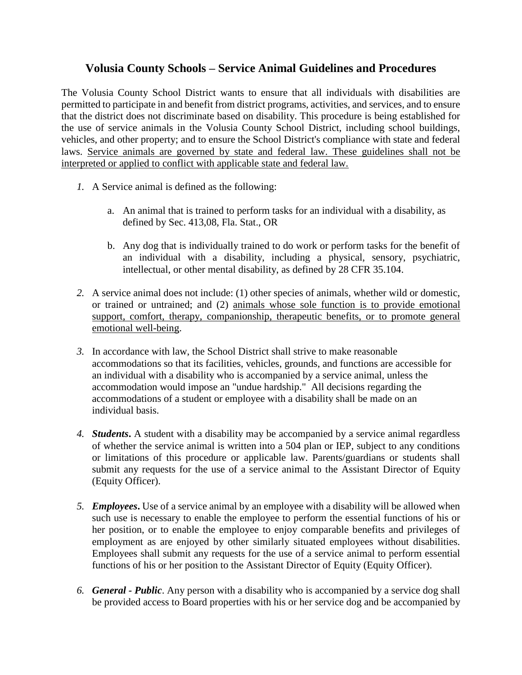# **Volusia County Schools – Service Animal Guidelines and Procedures**

The Volusia County School District wants to ensure that all individuals with disabilities are permitted to participate in and benefit from district programs, activities, and services, and to ensure that the district does not discriminate based on disability. This procedure is being established for the use of service animals in the Volusia County School District, including school buildings, vehicles, and other property; and to ensure the School District's compliance with state and federal laws. Service animals are governed by state and federal law. These guidelines shall not be interpreted or applied to conflict with applicable state and federal law.

- *1.* A Service animal is defined as the following:
	- a. An animal that is trained to perform tasks for an individual with a disability, as defined by Sec. 413,08, Fla. Stat., OR
	- b. Any dog that is individually trained to do work or perform tasks for the benefit of an individual with a disability, including a physical, sensory, psychiatric, intellectual, or other mental disability, as defined by 28 CFR 35.104.
- *2.* A service animal does not include: (1) other species of animals, whether wild or domestic, or trained or untrained; and (2) animals whose sole function is to provide emotional support, comfort, therapy, companionship, therapeutic benefits, or to promote general emotional well-being.
- *3.* In accordance with law, the School District shall strive to make reasonable accommodations so that its facilities, vehicles, grounds, and functions are accessible for an individual with a disability who is accompanied by a service animal, unless the accommodation would impose an "undue hardship." All decisions regarding the accommodations of a student or employee with a disability shall be made on an individual basis.
- *4. Students***.** A student with a disability may be accompanied by a service animal regardless of whether the service animal is written into a 504 plan or IEP, subject to any conditions or limitations of this procedure or applicable law. Parents/guardians or students shall submit any requests for the use of a service animal to the Assistant Director of Equity (Equity Officer).
- *5. Employees***.** Use of a service animal by an employee with a disability will be allowed when such use is necessary to enable the employee to perform the essential functions of his or her position, or to enable the employee to enjoy comparable benefits and privileges of employment as are enjoyed by other similarly situated employees without disabilities. Employees shall submit any requests for the use of a service animal to perform essential functions of his or her position to the Assistant Director of Equity (Equity Officer).
- *6. General Public*. Any person with a disability who is accompanied by a service dog shall be provided access to Board properties with his or her service dog and be accompanied by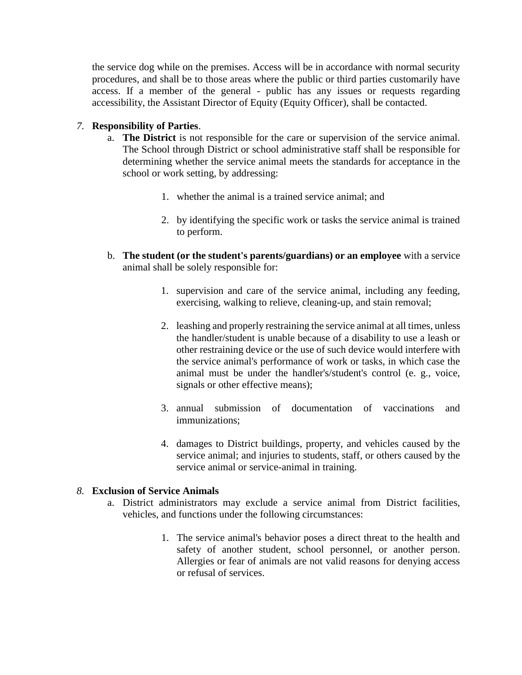the service dog while on the premises. Access will be in accordance with normal security procedures, and shall be to those areas where the public or third parties customarily have access. If a member of the general - public has any issues or requests regarding accessibility, the Assistant Director of Equity (Equity Officer), shall be contacted.

## *7.* **Responsibility of Parties**.

- a. **The District** is not responsible for the care or supervision of the service animal. The School through District or school administrative staff shall be responsible for determining whether the service animal meets the standards for acceptance in the school or work setting, by addressing:
	- 1. whether the animal is a trained service animal; and
	- 2. by identifying the specific work or tasks the service animal is trained to perform.
- b. **The student (or the student's parents/guardians) or an employee** with a service animal shall be solely responsible for:
	- 1. supervision and care of the service animal, including any feeding, exercising, walking to relieve, cleaning-up, and stain removal;
	- 2. leashing and properly restraining the service animal at all times, unless the handler/student is unable because of a disability to use a leash or other restraining device or the use of such device would interfere with the service animal's performance of work or tasks, in which case the animal must be under the handler's/student's control (e. g., voice, signals or other effective means);
	- 3. annual submission of documentation of vaccinations and immunizations;
	- 4. damages to District buildings, property, and vehicles caused by the service animal; and injuries to students, staff, or others caused by the service animal or service-animal in training.

## *8.* **Exclusion of Service Animals**

- a. District administrators may exclude a service animal from District facilities, vehicles, and functions under the following circumstances:
	- 1. The service animal's behavior poses a direct threat to the health and safety of another student, school personnel, or another person. Allergies or fear of animals are not valid reasons for denying access or refusal of services.